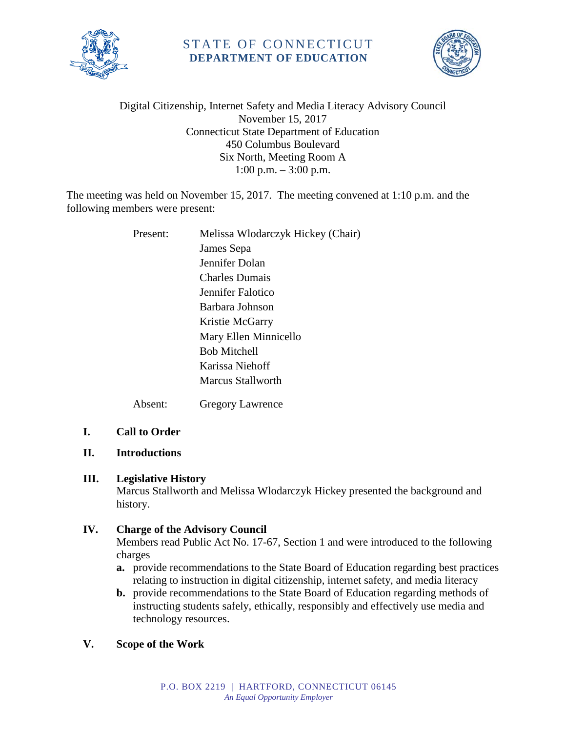

# STATE OF CONNECTICUT **DEPARTMENT OF EDUCATION**



### Digital Citizenship, Internet Safety and Media Literacy Advisory Council November 15, 2017 Connecticut State Department of Education 450 Columbus Boulevard Six North, Meeting Room A 1:00 p.m. – 3:00 p.m.

The meeting was held on November 15, 2017. The meeting convened at 1:10 p.m. and the following members were present:

| Present: | Melissa Wlodarczyk Hickey (Chair) |
|----------|-----------------------------------|
|          | James Sepa                        |
|          | Jennifer Dolan                    |
|          | <b>Charles Dumais</b>             |
|          | Jennifer Falotico                 |
|          | Barbara Johnson                   |
|          | Kristie McGarry                   |
|          | Mary Ellen Minnicello             |
|          | <b>Bob Mitchell</b>               |
|          | Karissa Niehoff                   |
|          | Marcus Stallworth                 |
| Absent:  | <b>Gregory Lawrence</b>           |

### **I. Call to Order**

### **II. Introductions**

### **III. Legislative History**

Marcus Stallworth and Melissa Wlodarczyk Hickey presented the background and history.

## **IV. Charge of the Advisory Council**

Members read Public Act No. 17-67, Section 1 and were introduced to the following charges

- **a.** provide recommendations to the State Board of Education regarding best practices relating to instruction in digital citizenship, internet safety, and media literacy
- **b.** provide recommendations to the State Board of Education regarding methods of instructing students safely, ethically, responsibly and effectively use media and technology resources.

## **V. Scope of the Work**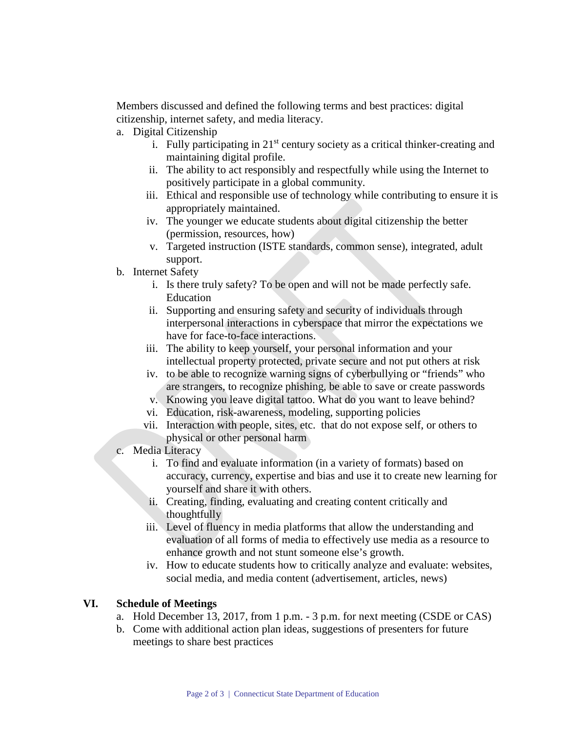Members discussed and defined the following terms and best practices: digital citizenship, internet safety, and media literacy.

- a. Digital Citizenship
	- i. Fully participating in  $21<sup>st</sup>$  century society as a critical thinker-creating and maintaining digital profile.
	- ii. The ability to act responsibly and respectfully while using the Internet to positively participate in a global community.
	- iii. Ethical and responsible use of technology while contributing to ensure it is appropriately maintained.
	- iv. The younger we educate students about digital citizenship the better (permission, resources, how)
	- v. Targeted instruction (ISTE standards, common sense), integrated, adult support.
- b. Internet Safety
	- i. Is there truly safety? To be open and will not be made perfectly safe. Education
	- ii. Supporting and ensuring safety and security of individuals through interpersonal interactions in cyberspace that mirror the expectations we have for face-to-face interactions.
	- iii. The ability to keep yourself, your personal information and your intellectual property protected, private secure and not put others at risk
	- iv. to be able to recognize warning signs of cyberbullying or "friends" who are strangers, to recognize phishing, be able to save or create passwords
	- v. Knowing you leave digital tattoo. What do you want to leave behind?
	- vi. Education, risk-awareness, modeling, supporting policies
	- vii. Interaction with people, sites, etc. that do not expose self, or others to physical or other personal harm
- c. Media Literacy
	- i. To find and evaluate information (in a variety of formats) based on accuracy, currency, expertise and bias and use it to create new learning for yourself and share it with others.
	- ii. Creating, finding, evaluating and creating content critically and thoughtfully
	- iii. Level of fluency in media platforms that allow the understanding and evaluation of all forms of media to effectively use media as a resource to enhance growth and not stunt someone else's growth.
	- iv. How to educate students how to critically analyze and evaluate: websites, social media, and media content (advertisement, articles, news)

#### **VI. Schedule of Meetings**

- a. Hold December 13, 2017, from 1 p.m. 3 p.m. for next meeting (CSDE or CAS)
- b. Come with additional action plan ideas, suggestions of presenters for future meetings to share best practices